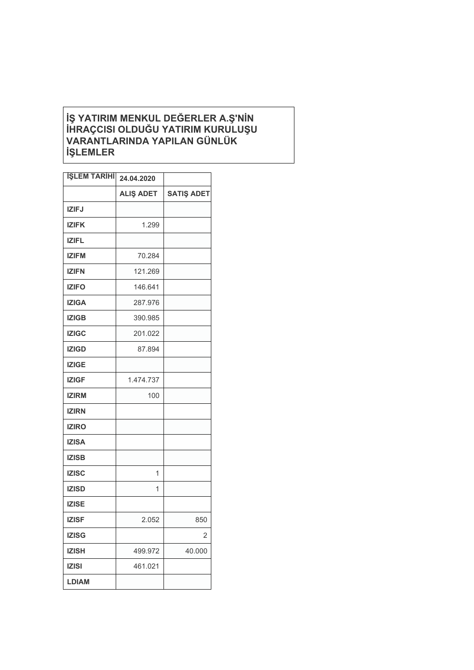## **İŞ YATIRIM MENKUL DEĞERLER A.Ş'NİN İHRAÇCISI OLDUĞU YATIRIM KURULUŞU VARANTLARINDA YAPILAN GÜNLÜK İŞLEMLER**

| <b>İŞLEM TARİHİ</b> | 24.04.2020       |                   |
|---------------------|------------------|-------------------|
|                     | <b>ALIŞ ADET</b> | <b>SATIŞ ADET</b> |
| <b>IZIFJ</b>        |                  |                   |
| <b>IZIFK</b>        | 1.299            |                   |
| <b>IZIFL</b>        |                  |                   |
| <b>IZIFM</b>        | 70.284           |                   |
| <b>IZIFN</b>        | 121.269          |                   |
| <b>IZIFO</b>        | 146.641          |                   |
| <b>IZIGA</b>        | 287.976          |                   |
| <b>IZIGB</b>        | 390.985          |                   |
| <b>IZIGC</b>        | 201.022          |                   |
| <b>IZIGD</b>        | 87.894           |                   |
| <b>IZIGE</b>        |                  |                   |
| <b>IZIGF</b>        | 1.474.737        |                   |
| <b>IZIRM</b>        | 100              |                   |
| <b>IZIRN</b>        |                  |                   |
| <b>IZIRO</b>        |                  |                   |
| <b>IZISA</b>        |                  |                   |
| <b>IZISB</b>        |                  |                   |
| <b>IZISC</b>        | 1                |                   |
| <b>IZISD</b>        | 1                |                   |
| <b>IZISE</b>        |                  |                   |
| <b>IZISF</b>        | 2.052            | 850               |
| <b>IZISG</b>        |                  | $\overline{2}$    |
| <b>IZISH</b>        | 499.972          | 40.000            |
| <b>IZISI</b>        | 461.021          |                   |
| LDIAM               |                  |                   |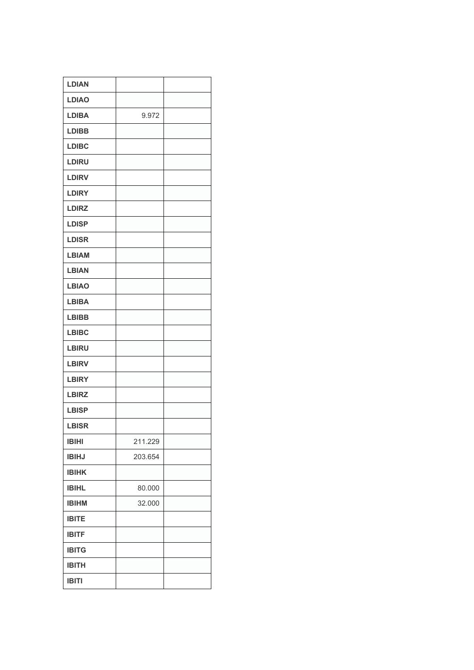| <b>LDIAN</b> |         |  |
|--------------|---------|--|
| <b>LDIAO</b> |         |  |
| <b>LDIBA</b> | 9.972   |  |
| <b>LDIBB</b> |         |  |
| <b>LDIBC</b> |         |  |
| <b>LDIRU</b> |         |  |
| <b>LDIRV</b> |         |  |
| <b>LDIRY</b> |         |  |
| <b>LDIRZ</b> |         |  |
| <b>LDISP</b> |         |  |
| <b>LDISR</b> |         |  |
| <b>LBIAM</b> |         |  |
| <b>LBIAN</b> |         |  |
| <b>LBIAO</b> |         |  |
| <b>LBIBA</b> |         |  |
| <b>LBIBB</b> |         |  |
| <b>LBIBC</b> |         |  |
| <b>LBIRU</b> |         |  |
| <b>LBIRV</b> |         |  |
| <b>LBIRY</b> |         |  |
| <b>LBIRZ</b> |         |  |
| <b>LBISP</b> |         |  |
| <b>LBISR</b> |         |  |
| <b>IBIHI</b> | 211.229 |  |
| <b>IBIHJ</b> | 203.654 |  |
| <b>IBIHK</b> |         |  |
| <b>IBIHL</b> | 80.000  |  |
| <b>IBIHM</b> | 32.000  |  |
| <b>IBITE</b> |         |  |
| <b>IBITF</b> |         |  |
| <b>IBITG</b> |         |  |
| <b>IBITH</b> |         |  |
| <b>IBITI</b> |         |  |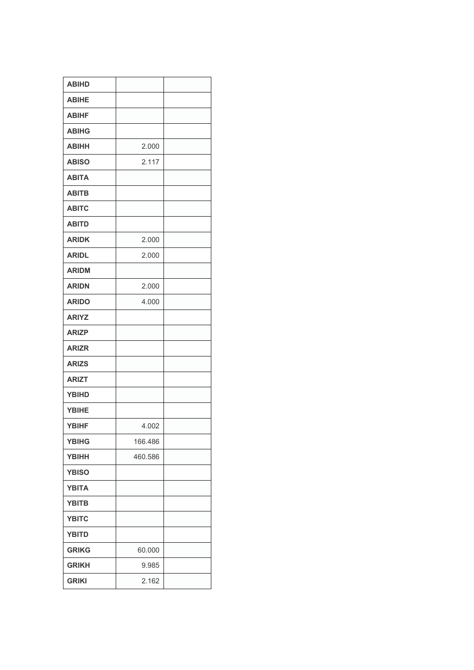| <b>ABIHD</b> |         |  |
|--------------|---------|--|
| <b>ABIHE</b> |         |  |
| <b>ABIHF</b> |         |  |
| <b>ABIHG</b> |         |  |
| <b>ABIHH</b> | 2.000   |  |
| <b>ABISO</b> | 2.117   |  |
| <b>ABITA</b> |         |  |
| <b>ABITB</b> |         |  |
| <b>ABITC</b> |         |  |
| <b>ABITD</b> |         |  |
| <b>ARIDK</b> | 2.000   |  |
| <b>ARIDL</b> | 2.000   |  |
| <b>ARIDM</b> |         |  |
| <b>ARIDN</b> | 2.000   |  |
| <b>ARIDO</b> | 4.000   |  |
| <b>ARIYZ</b> |         |  |
| <b>ARIZP</b> |         |  |
| <b>ARIZR</b> |         |  |
| <b>ARIZS</b> |         |  |
| <b>ARIZT</b> |         |  |
| <b>YBIHD</b> |         |  |
| <b>YBIHE</b> |         |  |
| <b>YBIHF</b> | 4.002   |  |
| <b>YBIHG</b> | 166.486 |  |
| <b>YBIHH</b> | 460.586 |  |
| <b>YBISO</b> |         |  |
| <b>YBITA</b> |         |  |
| <b>YBITB</b> |         |  |
| <b>YBITC</b> |         |  |
| <b>YBITD</b> |         |  |
| <b>GRIKG</b> | 60.000  |  |
| <b>GRIKH</b> | 9.985   |  |
| <b>GRIKI</b> | 2.162   |  |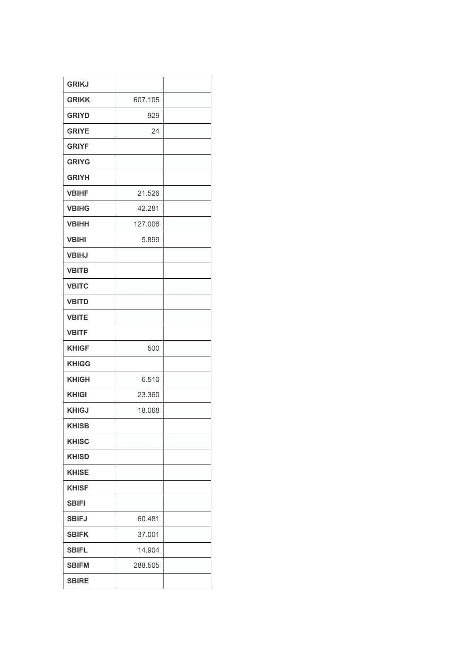| <b>GRIKJ</b> |         |  |
|--------------|---------|--|
| <b>GRIKK</b> | 607.105 |  |
| <b>GRIYD</b> | 929     |  |
| <b>GRIYE</b> | 24      |  |
| <b>GRIYF</b> |         |  |
| <b>GRIYG</b> |         |  |
| <b>GRIYH</b> |         |  |
| <b>VBIHF</b> | 21.526  |  |
| <b>VBIHG</b> | 42.281  |  |
| <b>VBIHH</b> | 127.008 |  |
| <b>VBIHI</b> | 5.899   |  |
| <b>VBIHJ</b> |         |  |
| <b>VBITB</b> |         |  |
| <b>VBITC</b> |         |  |
| <b>VBITD</b> |         |  |
| <b>VBITE</b> |         |  |
| <b>VBITF</b> |         |  |
| <b>KHIGF</b> | 500     |  |
| <b>KHIGG</b> |         |  |
| <b>KHIGH</b> | 6.510   |  |
| <b>KHIGI</b> | 23.360  |  |
| <b>KHIGJ</b> | 18.068  |  |
| <b>KHISB</b> |         |  |
| <b>KHISC</b> |         |  |
| <b>KHISD</b> |         |  |
| <b>KHISE</b> |         |  |
| <b>KHISF</b> |         |  |
| <b>SBIFI</b> |         |  |
| <b>SBIFJ</b> | 60.481  |  |
| <b>SBIFK</b> | 37.001  |  |
| <b>SBIFL</b> | 14.904  |  |
| <b>SBIFM</b> | 288.505 |  |
| <b>SBIRE</b> |         |  |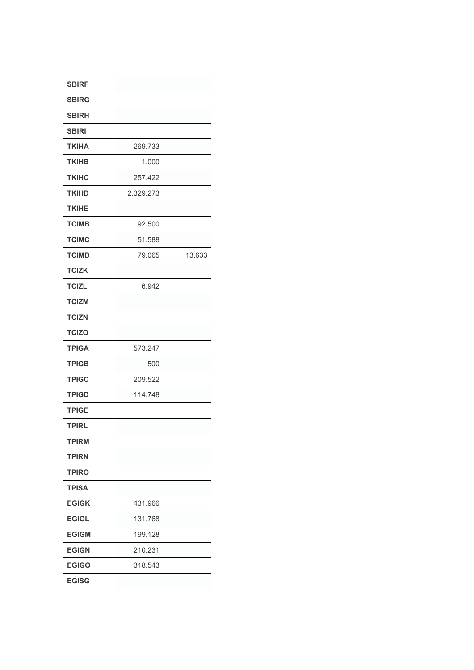| <b>SBIRF</b> |           |        |
|--------------|-----------|--------|
|              |           |        |
| <b>SBIRG</b> |           |        |
| <b>SBIRH</b> |           |        |
| <b>SBIRI</b> |           |        |
| <b>TKIHA</b> | 269.733   |        |
| <b>TKIHB</b> | 1.000     |        |
| <b>TKIHC</b> | 257.422   |        |
| <b>TKIHD</b> | 2.329.273 |        |
| <b>TKIHE</b> |           |        |
| <b>TCIMB</b> | 92.500    |        |
| <b>TCIMC</b> | 51.588    |        |
| <b>TCIMD</b> | 79.065    | 13.633 |
| <b>TCIZK</b> |           |        |
| <b>TCIZL</b> | 6.942     |        |
| <b>TCIZM</b> |           |        |
| <b>TCIZN</b> |           |        |
| <b>TCIZO</b> |           |        |
| <b>TPIGA</b> | 573.247   |        |
| <b>TPIGB</b> | 500       |        |
| <b>TPIGC</b> | 209.522   |        |
| <b>TPIGD</b> | 114.748   |        |
| <b>TPIGE</b> |           |        |
| <b>TPIRL</b> |           |        |
| <b>TPIRM</b> |           |        |
| <b>TPIRN</b> |           |        |
| <b>TPIRO</b> |           |        |
| <b>TPISA</b> |           |        |
| <b>EGIGK</b> | 431.966   |        |
| <b>EGIGL</b> | 131.768   |        |
| <b>EGIGM</b> | 199.128   |        |
| <b>EGIGN</b> | 210.231   |        |
| <b>EGIGO</b> | 318.543   |        |
| <b>EGISG</b> |           |        |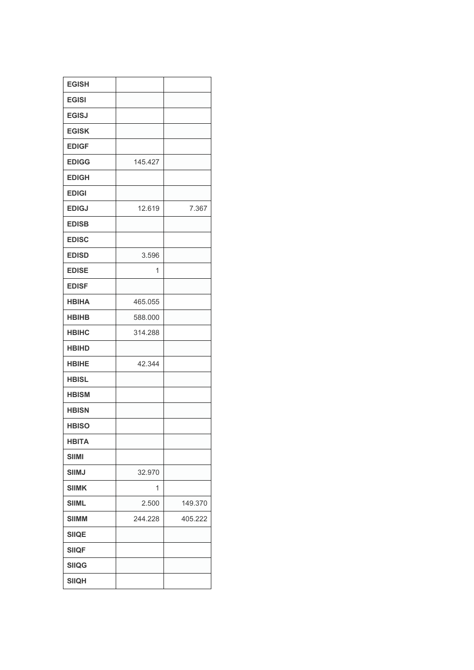| <b>EGISH</b> |         |         |
|--------------|---------|---------|
| <b>EGISI</b> |         |         |
| <b>EGISJ</b> |         |         |
| <b>EGISK</b> |         |         |
| <b>EDIGF</b> |         |         |
| <b>EDIGG</b> | 145.427 |         |
| <b>EDIGH</b> |         |         |
| <b>EDIGI</b> |         |         |
| <b>EDIGJ</b> | 12.619  | 7.367   |
| <b>EDISB</b> |         |         |
| <b>EDISC</b> |         |         |
| <b>EDISD</b> | 3.596   |         |
| <b>EDISE</b> | 1       |         |
| <b>EDISF</b> |         |         |
| <b>HBIHA</b> | 465.055 |         |
| <b>HBIHB</b> | 588.000 |         |
| <b>HBIHC</b> | 314.288 |         |
| <b>HBIHD</b> |         |         |
| <b>HBIHE</b> | 42.344  |         |
| <b>HBISL</b> |         |         |
| <b>HBISM</b> |         |         |
| <b>HBISN</b> |         |         |
| <b>HBISO</b> |         |         |
| <b>HBITA</b> |         |         |
| <b>SIIMI</b> |         |         |
| <b>SIIMJ</b> | 32.970  |         |
| <b>SIIMK</b> | 1       |         |
| <b>SIIML</b> | 2.500   | 149.370 |
| <b>SIIMM</b> | 244.228 | 405.222 |
| <b>SIIQE</b> |         |         |
| <b>SIIQF</b> |         |         |
| <b>SIIQG</b> |         |         |
| <b>SIIQH</b> |         |         |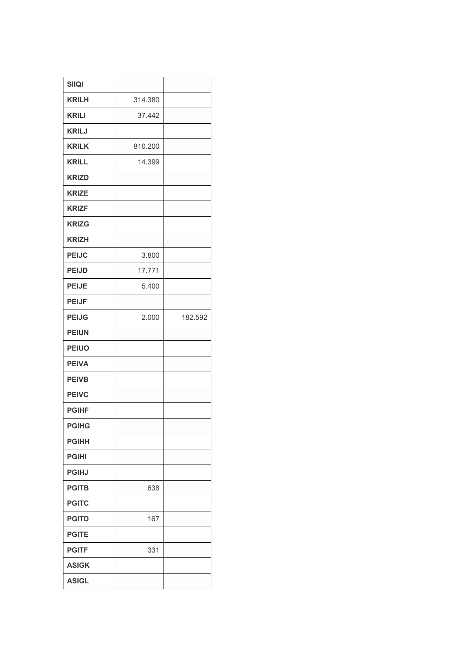| <b>SIIQI</b> |         |         |
|--------------|---------|---------|
| <b>KRILH</b> | 314.380 |         |
| <b>KRILI</b> | 37.442  |         |
| <b>KRILJ</b> |         |         |
| <b>KRILK</b> | 810.200 |         |
| <b>KRILL</b> | 14.399  |         |
| <b>KRIZD</b> |         |         |
| <b>KRIZE</b> |         |         |
| <b>KRIZF</b> |         |         |
| <b>KRIZG</b> |         |         |
| <b>KRIZH</b> |         |         |
| <b>PEIJC</b> | 3.800   |         |
| <b>PEIJD</b> | 17.771  |         |
| <b>PEIJE</b> | 5.400   |         |
| <b>PEIJF</b> |         |         |
| <b>PEIJG</b> | 2.000   | 182.592 |
|              |         |         |
| <b>PEIUN</b> |         |         |
| <b>PEIUO</b> |         |         |
| <b>PEIVA</b> |         |         |
| <b>PEIVB</b> |         |         |
| <b>PEIVC</b> |         |         |
| <b>PGIHF</b> |         |         |
| <b>PGIHG</b> |         |         |
| <b>PGIHH</b> |         |         |
| <b>PGIHI</b> |         |         |
| <b>PGIHJ</b> |         |         |
| <b>PGITB</b> | 638     |         |
| <b>PGITC</b> |         |         |
| <b>PGITD</b> | 167     |         |
| <b>PGITE</b> |         |         |
| <b>PGITF</b> | 331     |         |
| <b>ASIGK</b> |         |         |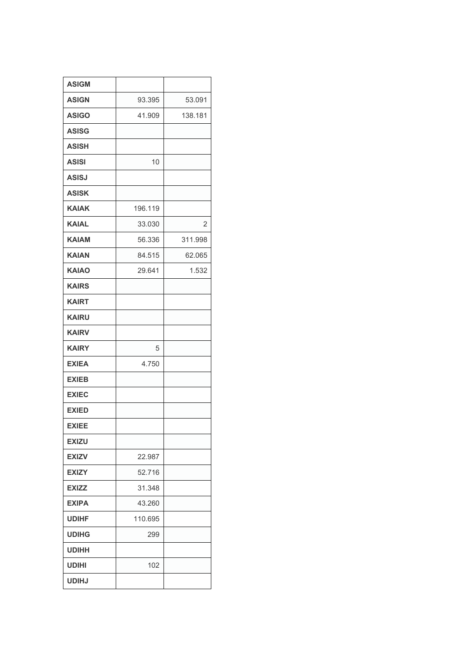| <b>ASIGM</b> |         |         |
|--------------|---------|---------|
| <b>ASIGN</b> | 93.395  | 53.091  |
| <b>ASIGO</b> | 41.909  | 138.181 |
| <b>ASISG</b> |         |         |
| <b>ASISH</b> |         |         |
| <b>ASISI</b> | 10      |         |
| <b>ASISJ</b> |         |         |
| <b>ASISK</b> |         |         |
| <b>KAIAK</b> | 196.119 |         |
| KAIAL        | 33.030  | 2       |
| KAIAM        | 56.336  | 311.998 |
| <b>KAIAN</b> | 84.515  | 62.065  |
| <b>KAIAO</b> | 29.641  | 1.532   |
| <b>KAIRS</b> |         |         |
| <b>KAIRT</b> |         |         |
| <b>KAIRU</b> |         |         |
| <b>KAIRV</b> |         |         |
| <b>KAIRY</b> | 5       |         |
| <b>EXIEA</b> | 4.750   |         |
| <b>EXIEB</b> |         |         |
| <b>EXIEC</b> |         |         |
| <b>EXIED</b> |         |         |
| <b>EXIEE</b> |         |         |
| <b>EXIZU</b> |         |         |
| <b>EXIZV</b> | 22.987  |         |
| <b>EXIZY</b> | 52.716  |         |
| <b>EXIZZ</b> | 31.348  |         |
| <b>EXIPA</b> | 43.260  |         |
| <b>UDIHF</b> | 110.695 |         |
| <b>UDIHG</b> | 299     |         |
| UDIHH        |         |         |
| <b>UDIHI</b> | 102     |         |
| <b>UDIHJ</b> |         |         |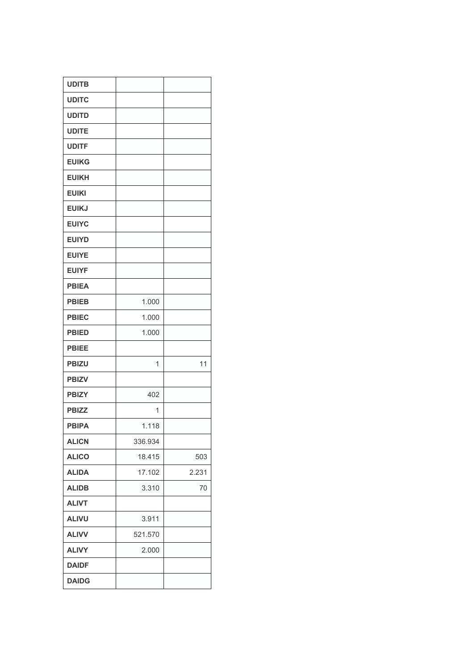| <b>UDITB</b> |         |       |
|--------------|---------|-------|
| <b>UDITC</b> |         |       |
| <b>UDITD</b> |         |       |
| <b>UDITE</b> |         |       |
| <b>UDITF</b> |         |       |
| <b>EUIKG</b> |         |       |
| <b>EUIKH</b> |         |       |
| <b>EUIKI</b> |         |       |
| <b>EUIKJ</b> |         |       |
| <b>EUIYC</b> |         |       |
| <b>EUIYD</b> |         |       |
| <b>EUIYE</b> |         |       |
| <b>EUIYF</b> |         |       |
| <b>PBIEA</b> |         |       |
| <b>PBIEB</b> | 1.000   |       |
| <b>PBIEC</b> | 1.000   |       |
| <b>PBIED</b> | 1.000   |       |
| <b>PBIEE</b> |         |       |
| <b>PBIZU</b> | 1       | 11    |
| <b>PBIZV</b> |         |       |
| <b>PBIZY</b> | 402     |       |
| <b>PBIZZ</b> | 1       |       |
| <b>PBIPA</b> | 1.118   |       |
| <b>ALICN</b> | 336.934 |       |
| <b>ALICO</b> | 18.415  | 503   |
| <b>ALIDA</b> | 17.102  | 2.231 |
| <b>ALIDB</b> | 3.310   | 70    |
| <b>ALIVT</b> |         |       |
| <b>ALIVU</b> | 3.911   |       |
| <b>ALIVV</b> | 521.570 |       |
| <b>ALIVY</b> | 2.000   |       |
| <b>DAIDF</b> |         |       |
| <b>DAIDG</b> |         |       |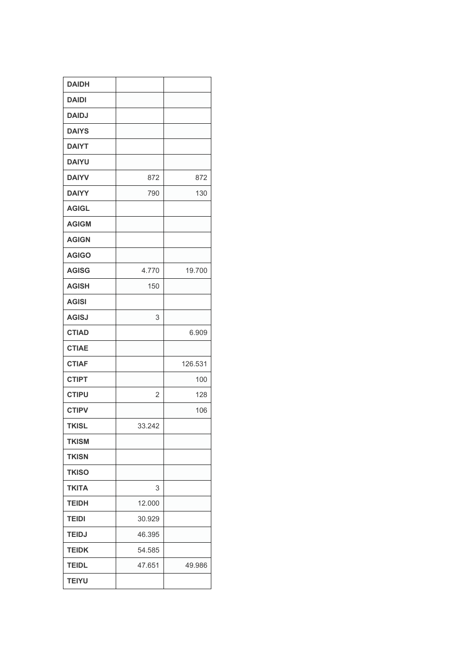| <b>DAIDH</b> |        |         |
|--------------|--------|---------|
| <b>DAIDI</b> |        |         |
| <b>DAIDJ</b> |        |         |
| <b>DAIYS</b> |        |         |
| <b>DAIYT</b> |        |         |
| <b>DAIYU</b> |        |         |
| <b>DAIYV</b> | 872    | 872     |
| <b>DAIYY</b> | 790    | 130     |
| <b>AGIGL</b> |        |         |
| <b>AGIGM</b> |        |         |
| <b>AGIGN</b> |        |         |
| <b>AGIGO</b> |        |         |
| <b>AGISG</b> | 4.770  | 19.700  |
| <b>AGISH</b> | 150    |         |
| <b>AGISI</b> |        |         |
| <b>AGISJ</b> | 3      |         |
| <b>CTIAD</b> |        | 6.909   |
| <b>CTIAE</b> |        |         |
| <b>CTIAF</b> |        | 126.531 |
| <b>CTIPT</b> |        | 100     |
| <b>CTIPU</b> | 2      | 128     |
| <b>CTIPV</b> |        | 106     |
| <b>TKISL</b> | 33.242 |         |
| <b>TKISM</b> |        |         |
| <b>TKISN</b> |        |         |
| <b>TKISO</b> |        |         |
| <b>TKITA</b> | 3      |         |
| <b>TEIDH</b> | 12.000 |         |
| <b>TEIDI</b> | 30.929 |         |
| <b>TEIDJ</b> | 46.395 |         |
| <b>TEIDK</b> | 54.585 |         |
|              |        |         |
| <b>TEIDL</b> | 47.651 | 49.986  |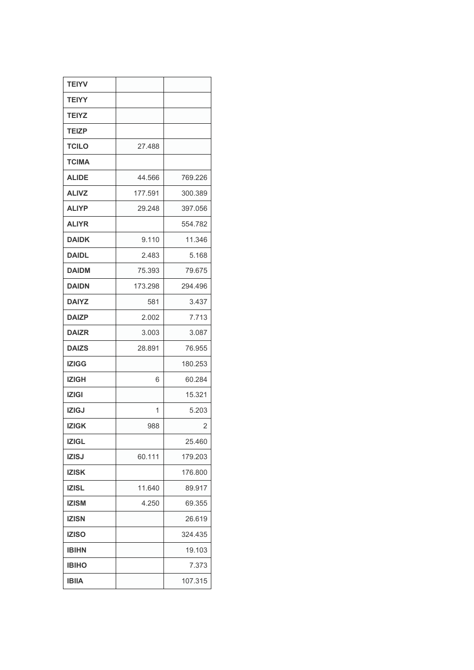| <b>TEIYV</b> |         |         |
|--------------|---------|---------|
| <b>TEIYY</b> |         |         |
| <b>TEIYZ</b> |         |         |
| <b>TEIZP</b> |         |         |
| <b>TCILO</b> | 27.488  |         |
| <b>TCIMA</b> |         |         |
| <b>ALIDE</b> | 44.566  | 769.226 |
| <b>ALIVZ</b> | 177.591 | 300.389 |
| <b>ALIYP</b> | 29.248  | 397.056 |
| <b>ALIYR</b> |         | 554.782 |
| <b>DAIDK</b> | 9.110   | 11.346  |
| <b>DAIDL</b> | 2.483   | 5.168   |
| <b>DAIDM</b> | 75.393  | 79.675  |
| <b>DAIDN</b> | 173.298 | 294.496 |
| <b>DAIYZ</b> | 581     | 3.437   |
| <b>DAIZP</b> | 2.002   | 7.713   |
| <b>DAIZR</b> | 3.003   | 3.087   |
| <b>DAIZS</b> | 28.891  | 76.955  |
| <b>IZIGG</b> |         | 180.253 |
| <b>IZIGH</b> | 6       | 60.284  |
| <b>IZIGI</b> |         | 15.321  |
| <b>IZIGJ</b> | 1       | 5.203   |
| <b>IZIGK</b> | 988     | 2       |
| <b>IZIGL</b> |         | 25.460  |
| <b>IZISJ</b> | 60.111  | 179.203 |
| <b>IZISK</b> |         | 176.800 |
| <b>IZISL</b> | 11.640  | 89.917  |
| <b>IZISM</b> | 4.250   | 69.355  |
| <b>IZISN</b> |         | 26.619  |
| <b>IZISO</b> |         | 324.435 |
| <b>IBIHN</b> |         | 19.103  |
| <b>IBIHO</b> |         | 7.373   |
| <b>IBIIA</b> |         | 107.315 |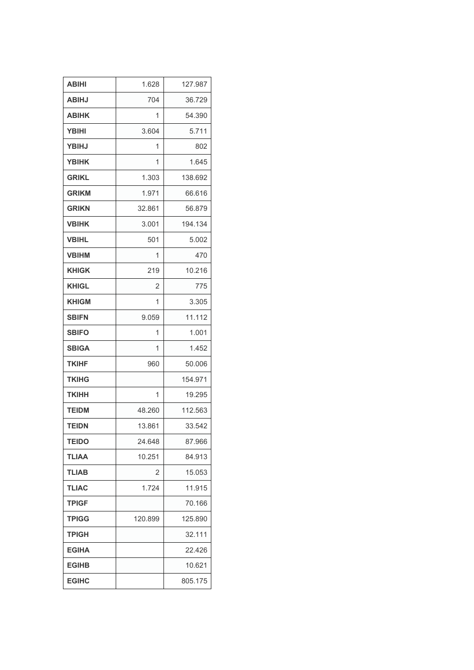| <b>ABIHI</b> | 1.628          | 127.987 |
|--------------|----------------|---------|
| <b>ABIHJ</b> | 704            | 36.729  |
| <b>ABIHK</b> | 1              | 54.390  |
| <b>YBIHI</b> | 3.604          | 5.711   |
| <b>YBIHJ</b> | 1              | 802     |
| <b>YBIHK</b> | 1              | 1.645   |
| <b>GRIKL</b> | 1.303          | 138.692 |
| <b>GRIKM</b> | 1.971          | 66.616  |
| <b>GRIKN</b> | 32.861         | 56.879  |
| <b>VBIHK</b> | 3.001          | 194.134 |
| <b>VBIHL</b> | 501            | 5.002   |
| <b>VBIHM</b> | 1              | 470     |
| <b>KHIGK</b> | 219            | 10.216  |
| <b>KHIGL</b> | $\overline{2}$ | 775     |
| <b>KHIGM</b> | 1              | 3.305   |
| <b>SBIFN</b> | 9.059          | 11.112  |
| <b>SBIFO</b> | 1              | 1.001   |
| <b>SBIGA</b> | 1              | 1.452   |
| <b>TKIHF</b> | 960            | 50.006  |
| <b>TKIHG</b> |                | 154.971 |
| TKIHH        | 1              | 19.295  |
| <b>TEIDM</b> | 48.260         | 112.563 |
| <b>TEIDN</b> | 13.861         | 33.542  |
| <b>TEIDO</b> | 24.648         | 87.966  |
| <b>TLIAA</b> | 10.251         | 84.913  |
| <b>TLIAB</b> | 2              | 15.053  |
| <b>TLIAC</b> | 1.724          | 11.915  |
| <b>TPIGF</b> |                | 70.166  |
| <b>TPIGG</b> | 120.899        | 125.890 |
| <b>TPIGH</b> |                | 32.111  |
| <b>EGIHA</b> |                | 22.426  |
| <b>EGIHB</b> |                | 10.621  |
| <b>EGIHC</b> |                | 805.175 |